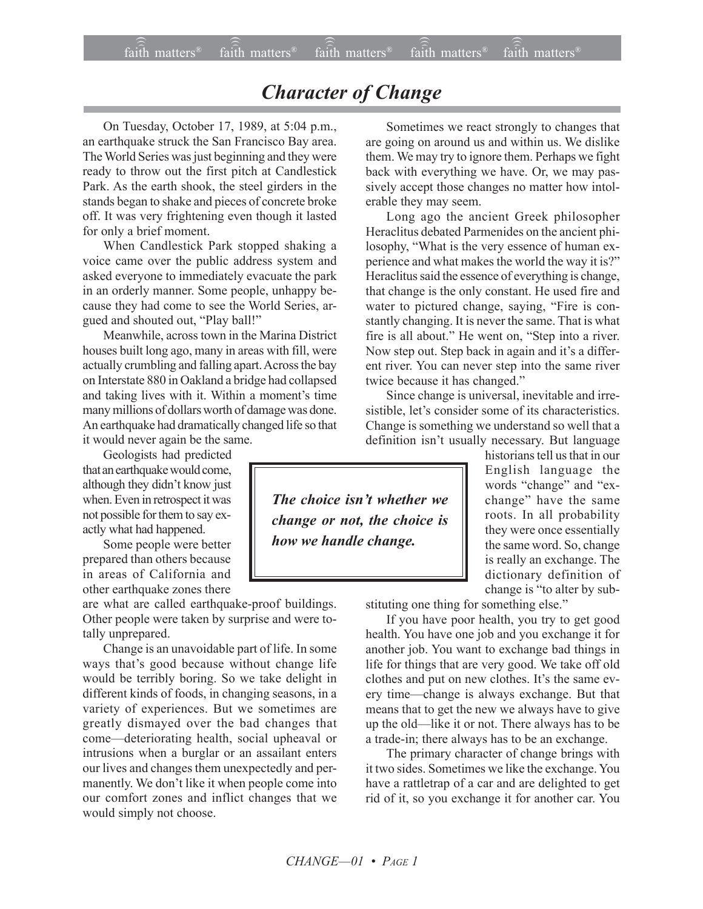## *Character of Change*

On Tuesday, October 17, 1989, at 5:04 p.m., an earthquake struck the San Francisco Bay area. The World Series was just beginning and they were ready to throw out the first pitch at Candlestick Park. As the earth shook, the steel girders in the stands began to shake and pieces of concrete broke off. It was very frightening even though it lasted for only a brief moment.

When Candlestick Park stopped shaking a voice came over the public address system and asked everyone to immediately evacuate the park in an orderly manner. Some people, unhappy because they had come to see the World Series, argued and shouted out, "Play ball!"

Meanwhile, across town in the Marina District houses built long ago, many in areas with fill, were actually crumbling and falling apart. Across the bay on Interstate 880 in Oakland a bridge had collapsed and taking lives with it. Within a moment's time many millions of dollars worth of damage was done. An earthquake had dramatically changed life so that it would never again be the same.

Geologists had predicted that an earthquake would come, although they didn't know just when. Even in retrospect it was not possible for them to say exactly what had happened.

Some people were better prepared than others because in areas of California and other earthquake zones there

are what are called earthquake-proof buildings. Other people were taken by surprise and were totally unprepared.

Change is an unavoidable part of life. In some ways that's good because without change life would be terribly boring. So we take delight in different kinds of foods, in changing seasons, in a variety of experiences. But we sometimes are greatly dismayed over the bad changes that come-deteriorating health, social upheaval or intrusions when a burglar or an assailant enters our lives and changes them unexpectedly and permanently. We don't like it when people come into our comfort zones and inflict changes that we would simply not choose.

Sometimes we react strongly to changes that are going on around us and within us. We dislike them. We may try to ignore them. Perhaps we fight back with everything we have. Or, we may passively accept those changes no matter how intolerable they may seem.

Long ago the ancient Greek philosopher Heraclitus debated Parmenides on the ancient philosophy, "What is the very essence of human experience and what makes the world the way it is?" Heraclitus said the essence of everything is change, that change is the only constant. He used fire and water to pictured change, saying, "Fire is constantly changing. It is never the same. That is what fire is all about." He went on, "Step into a river. Now step out. Step back in again and it's a different river. You can never step into the same river twice because it has changed."

Since change is universal, inevitable and irresistible, let's consider some of its characteristics. Change is something we understand so well that a definition isn't usually necessary. But language

historians tell us that in our English language the words "change" and "exchange" have the same roots. In all probability they were once essentially the same word. So, change is really an exchange. The dictionary definition of change is "to alter by sub-

stituting one thing for something else."

If you have poor health, you try to get good health. You have one job and you exchange it for another job. You want to exchange bad things in life for things that are very good. We take off old clothes and put on new clothes. It's the same every time-change is always exchange. But that means that to get the new we always have to give up the old—like it or not. There always has to be a trade-in; there always has to be an exchange.

The primary character of change brings with it two sides. Sometimes we like the exchange. You have a rattletrap of a car and are delighted to get rid of it, so you exchange it for another car. You

*The choice isn't whether we change or not, the choice is how we handle change.*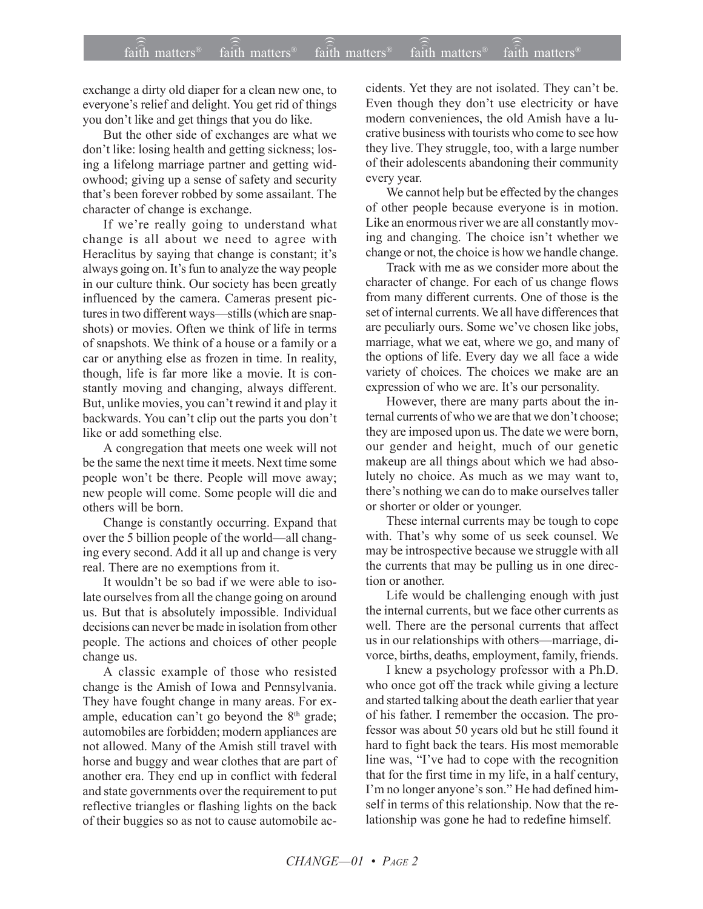exchange a dirty old diaper for a clean new one, to everyone's relief and delight. You get rid of things you don't like and get things that you do like.

But the other side of exchanges are what we don't like: losing health and getting sickness; losing a lifelong marriage partner and getting widowhood; giving up a sense of safety and security that's been forever robbed by some assailant. The character of change is exchange.

If we're really going to understand what change is all about we need to agree with Heraclitus by saying that change is constant; it's always going on. It's fun to analyze the way people in our culture think. Our society has been greatly influenced by the camera. Cameras present pictures in two different ways—stills (which are snapshots) or movies. Often we think of life in terms of snapshots. We think of a house or a family or a car or anything else as frozen in time. In reality, though, life is far more like a movie. It is constantly moving and changing, always different. But, unlike movies, you can't rewind it and play it backwards. You can't clip out the parts you don't like or add something else.

A congregation that meets one week will not be the same the next time it meets. Next time some people won't be there. People will move away; new people will come. Some people will die and others will be born.

Change is constantly occurring. Expand that over the 5 billion people of the world—all changing every second. Add it all up and change is very real. There are no exemptions from it.

It wouldn't be so bad if we were able to isolate ourselves from all the change going on around us. But that is absolutely impossible. Individual decisions can never be made in isolation from other people. The actions and choices of other people change us.

A classic example of those who resisted change is the Amish of Iowa and Pennsylvania. They have fought change in many areas. For example, education can't go beyond the  $8<sup>th</sup>$  grade; automobiles are forbidden; modern appliances are not allowed. Many of the Amish still travel with horse and buggy and wear clothes that are part of another era. They end up in conflict with federal and state governments over the requirement to put reflective triangles or flashing lights on the back of their buggies so as not to cause automobile accidents. Yet they are not isolated. They can't be. Even though they don't use electricity or have modern conveniences, the old Amish have a lucrative business with tourists who come to see how they live. They struggle, too, with a large number of their adolescents abandoning their community every year.

We cannot help but be effected by the changes of other people because everyone is in motion. Like an enormous river we are all constantly moving and changing. The choice isn't whether we change or not, the choice is how we handle change.

Track with me as we consider more about the character of change. For each of us change flows from many different currents. One of those is the set of internal currents. We all have differences that are peculiarly ours. Some we've chosen like jobs, marriage, what we eat, where we go, and many of the options of life. Every day we all face a wide variety of choices. The choices we make are an expression of who we are. It's our personality.

However, there are many parts about the internal currents of who we are that we don't choose: they are imposed upon us. The date we were born, our gender and height, much of our genetic makeup are all things about which we had absolutely no choice. As much as we may want to, there's nothing we can do to make ourselves taller or shorter or older or younger.

These internal currents may be tough to cope with. That's why some of us seek counsel. We may be introspective because we struggle with all the currents that may be pulling us in one direction or another.

Life would be challenging enough with just the internal currents, but we face other currents as well. There are the personal currents that affect us in our relationships with others—marriage, divorce, births, deaths, employment, family, friends.

I knew a psychology professor with a Ph.D. who once got off the track while giving a lecture and started talking about the death earlier that year of his father. I remember the occasion. The professor was about 50 years old but he still found it hard to fight back the tears. His most memorable line was, "I've had to cope with the recognition that for the first time in my life, in a half century, I'm no longer anyone's son." He had defined himself in terms of this relationship. Now that the relationship was gone he had to redefine himself.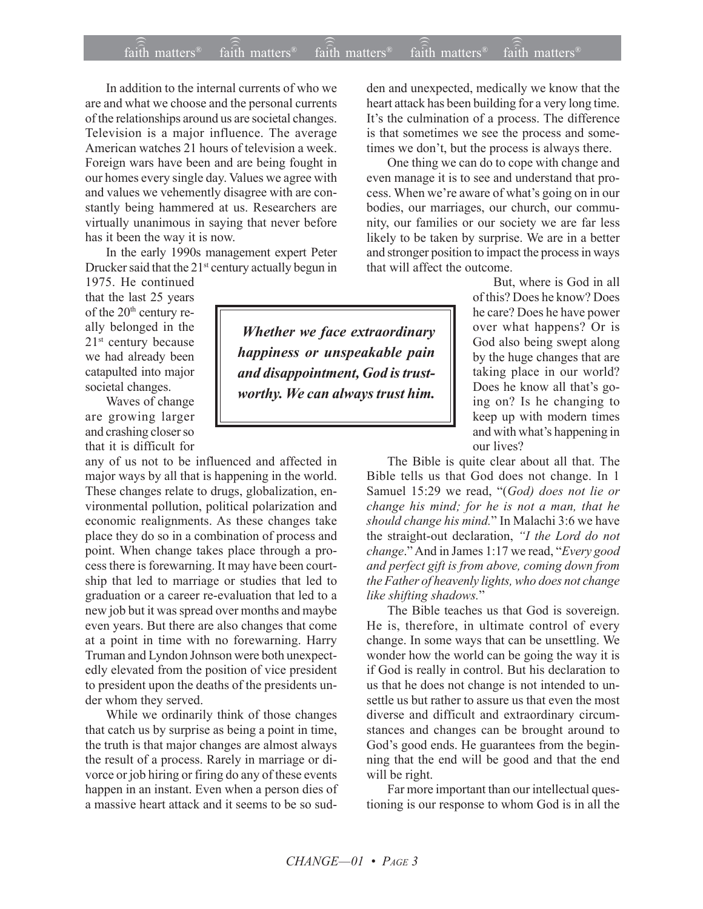## $\widehat{\widehat{\mathfrak{tair}}}$  matters  $^{\circ}$  faith matters faith matters  $^{\circ}$  faith matters faith matters  $^{\circ}$  $f$ aith matters<sup>®</sup> faith matters<sup>®</sup> faith matters<sup>®</sup>

In addition to the internal currents of who we are and what we choose and the personal currents of the relationships around us are societal changes. Television is a major influence. The average American watches 21 hours of television a week. Foreign wars have been and are being fought in our homes every single day. Values we agree with and values we vehemently disagree with are constantly being hammered at us. Researchers are virtually unanimous in saying that never before has it been the way it is now.

In the early 1990s management expert Peter Drucker said that the  $21<sup>st</sup>$  century actually begun in

1975. He continued that the last 25 years of the 20<sup>th</sup> century really belonged in the  $21<sup>st</sup>$  century because we had already been catapulted into major societal changes.

Waves of change are growing larger and crashing closer so that it is difficult for

any of us not to be influenced and affected in major ways by all that is happening in the world. These changes relate to drugs, globalization, environmental pollution, political polarization and economic realignments. As these changes take place they do so in a combination of process and point. When change takes place through a process there is forewarning. It may have been courtship that led to marriage or studies that led to graduation or a career re-evaluation that led to a new job but it was spread over months and maybe even years. But there are also changes that come at a point in time with no forewarning. Harry Truman and Lyndon Johnson were both unexpectedly elevated from the position of vice president to president upon the deaths of the presidents under whom they served.

While we ordinarily think of those changes that catch us by surprise as being a point in time, the truth is that major changes are almost always the result of a process. Rarely in marriage or divorce or job hiring or firing do any of these events happen in an instant. Even when a person dies of a massive heart attack and it seems to be so sudden and unexpected, medically we know that the heart attack has been building for a very long time. It's the culmination of a process. The difference is that sometimes we see the process and sometimes we don't, but the process is always there.

One thing we can do to cope with change and even manage it is to see and understand that process. When we're aware of what's going on in our bodies, our marriages, our church, our community, our families or our society we are far less likely to be taken by surprise. We are in a better and stronger position to impact the process in ways that will affect the outcome.

> But, where is God in all of this? Does he know? Does he care? Does he have power over what happens? Or is God also being swept along by the huge changes that are taking place in our world? Does he know all that's going on? Is he changing to keep up with modern times and with what's happening in our lives?

The Bible is quite clear about all that. The Bible tells us that God does not change. In 1 Samuel 15:29 we read, "(God) does not lie or *change his mind; for he is not a man, that he should change his mind.*î In Malachi 3:6 we have the straight-out declaration, *ìI the Lord do not change.*" And in James 1:17 we read, "*Every good and perfect gift is from above, coming down from the Father of heavenly lights, who does not change like shifting shadows.*"

The Bible teaches us that God is sovereign. He is, therefore, in ultimate control of every change. In some ways that can be unsettling. We wonder how the world can be going the way it is if God is really in control. But his declaration to us that he does not change is not intended to unsettle us but rather to assure us that even the most diverse and difficult and extraordinary circumstances and changes can be brought around to God's good ends. He guarantees from the beginning that the end will be good and that the end will be right.

Far more important than our intellectual questioning is our response to whom God is in all the

 *Whether we face extraordinary happiness or unspeakable pain and disappointment, God is trustworthy. We can always trust him.*